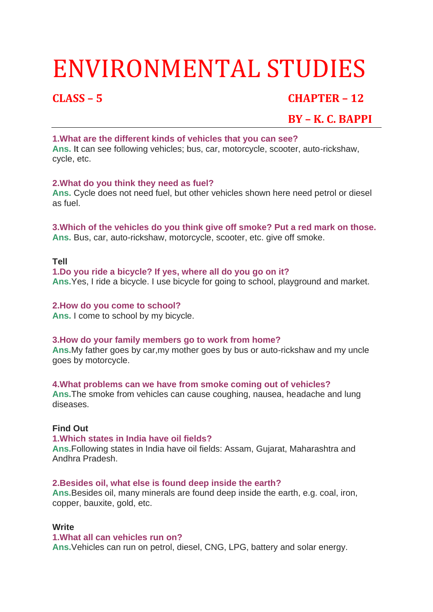# ENVIRONMENTAL STUDIES

# **CLASS – 5 CHAPTER – 12**

# **BY – K. C. BAPPI**

#### **1.What are the different kinds of vehicles that you can see?**

**Ans.** It can see following vehicles; bus, car, motorcycle, scooter, auto-rickshaw, cycle, etc.

### **2.What do you think they need as fuel?**

**Ans.** Cycle does not need fuel, but other vehicles shown here need petrol or diesel as fuel.

**3.Which of the vehicles do you think give off smoke? Put a red mark on those. Ans.** Bus, car, auto-rickshaw, motorcycle, scooter, etc. give off smoke.

#### **Tell**

#### **1.Do you ride a bicycle? If yes, where all do you go on it?**

**Ans.**Yes, I ride a bicycle. I use bicycle for going to school, playground and market.

#### **2.How do you come to school?**

**Ans.** I come to school by my bicycle.

### **3.How do your family members go to work from home?**

**Ans.**My father goes by car,my mother goes by bus or auto-rickshaw and my uncle goes by motorcycle.

#### **4.What problems can we have from smoke coming out of vehicles?**

**Ans.**The smoke from vehicles can cause coughing, nausea, headache and lung diseases.

### **Find Out**

#### **1.Which states in India have oil fields?**

**Ans.**Following states in India have oil fields: Assam, Gujarat, Maharashtra and Andhra Pradesh.

#### **2.Besides oil, what else is found deep inside the earth?**

**Ans.**Besides oil, many minerals are found deep inside the earth, e.g. coal, iron, copper, bauxite, gold, etc.

#### **Write**

#### **1.What all can vehicles run on?**

**Ans.**Vehicles can run on petrol, diesel, CNG, LPG, battery and solar energy.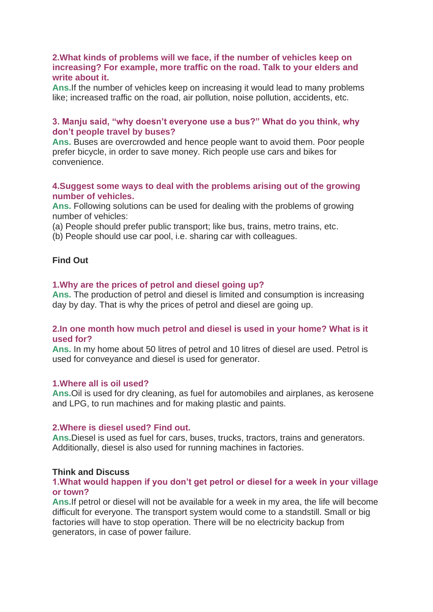#### **2.What kinds of problems will we face, if the number of vehicles keep on increasing? For example, more traffic on the road. Talk to your elders and write about it.**

**Ans.**If the number of vehicles keep on increasing it would lead to many problems like; increased traffic on the road, air pollution, noise pollution, accidents, etc.

#### **3. Manju said, "why doesn't everyone use a bus?" What do you think, why don't people travel by buses?**

**Ans.** Buses are overcrowded and hence people want to avoid them. Poor people prefer bicycle, in order to save money. Rich people use cars and bikes for convenience.

#### **4.Suggest some ways to deal with the problems arising out of the growing number of vehicles.**

**Ans.** Following solutions can be used for dealing with the problems of growing number of vehicles:

(a) People should prefer public transport; like bus, trains, metro trains, etc.

(b) People should use car pool, i.e. sharing car with colleagues.

### **Find Out**

#### **1.Why are the prices of petrol and diesel going up?**

**Ans.** The production of petrol and diesel is limited and consumption is increasing day by day. That is why the prices of petrol and diesel are going up.

#### **2.In one month how much petrol and diesel is used in your home? What is it used for?**

**Ans.** In my home about 50 litres of petrol and 10 litres of diesel are used. Petrol is used for conveyance and diesel is used for generator.

#### **1.Where all is oil used?**

**Ans.**Oil is used for dry cleaning, as fuel for automobiles and airplanes, as kerosene and LPG, to run machines and for making plastic and paints.

#### **2.Where is diesel used? Find out.**

**Ans.**Diesel is used as fuel for cars, buses, trucks, tractors, trains and generators. Additionally, diesel is also used for running machines in factories.

#### **Think and Discuss**

#### **1.What would happen if you don't get petrol or diesel for a week in your village or town?**

**Ans.**If petrol or diesel will not be available for a week in my area, the life will become difficult for everyone. The transport system would come to a standstill. Small or big factories will have to stop operation. There will be no electricity backup from generators, in case of power failure.